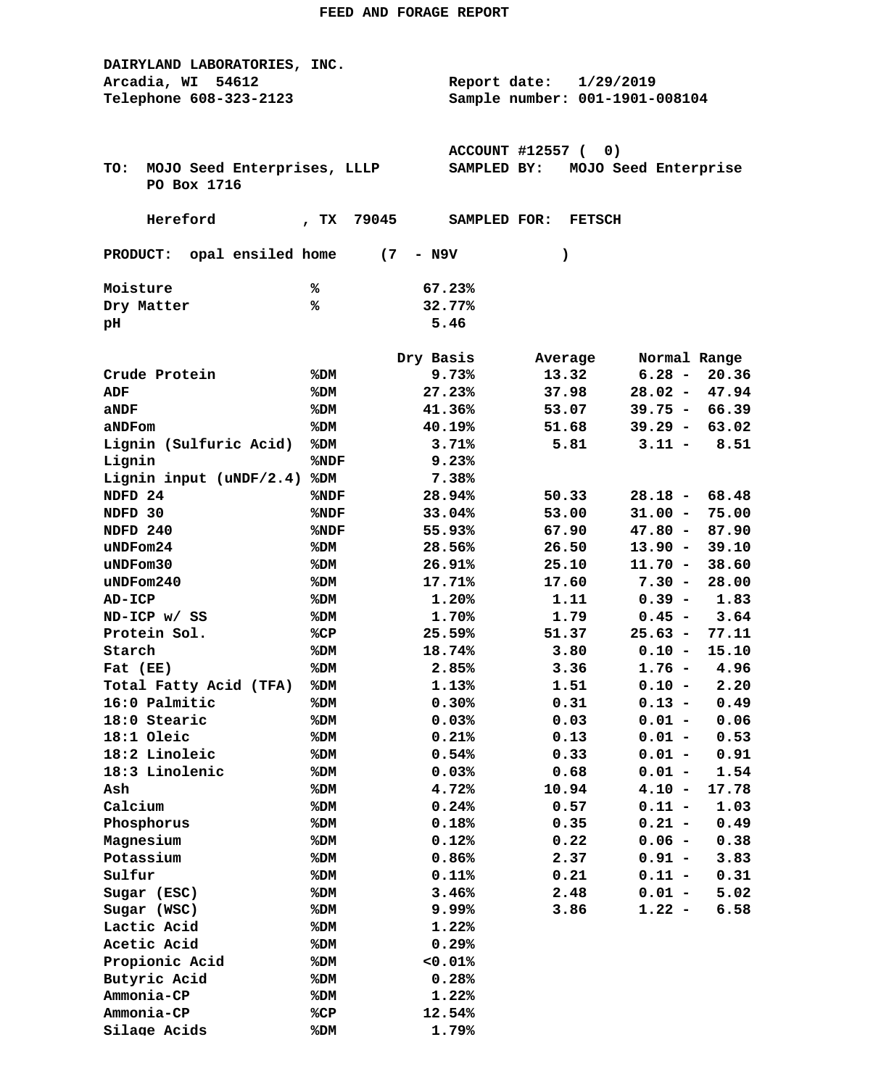| DAIRYLAND LABORATORIES, INC.       |                 |                                |                  |           |               |                      |               |
|------------------------------------|-----------------|--------------------------------|------------------|-----------|---------------|----------------------|---------------|
| Arcadia, WI 54612                  |                 | Report date:                   |                  | 1/29/2019 |               |                      |               |
| Telephone 608-323-2123             |                 | Sample number: 001-1901-008104 |                  |           |               |                      |               |
|                                    |                 |                                |                  |           |               |                      |               |
|                                    |                 |                                |                  |           |               |                      |               |
|                                    |                 |                                | ACCOUNT #12557 ( |           | 0)            |                      |               |
| TO:<br>MOJO Seed Enterprises, LLLP |                 |                                | SAMPLED BY:      |           |               | MOJO Seed Enterprise |               |
| PO Box 1716                        |                 |                                |                  |           |               |                      |               |
|                                    |                 |                                |                  |           |               |                      |               |
| Hereford                           | 79045<br>, $TX$ |                                | SAMPLED FOR:     |           | <b>FETSCH</b> |                      |               |
|                                    |                 |                                |                  |           |               |                      |               |
| PRODUCT: opal ensiled home (7      |                 | - N9V                          |                  | )         |               |                      |               |
| Moisture                           | ℁               | 67.23%                         |                  |           |               |                      |               |
| Dry Matter                         | ℁               | 32.77%                         |                  |           |               |                      |               |
| pН                                 |                 | 5.46                           |                  |           |               |                      |               |
|                                    |                 |                                |                  |           |               |                      |               |
|                                    |                 | Dry Basis                      |                  |           | Average       | Normal Range         |               |
| Crude Protein                      | %DM             | 9.73%                          |                  |           | 13.32         | $6.28 -$             | 20.36         |
| ADF                                | %DM             | 27.23%                         |                  |           | 37.98         | $28.02 -$            | 47.94         |
| aNDF                               | %DM             | 41.36%                         |                  |           | 53.07         | $39.75 -$            | 66.39         |
| aNDFom                             | %DM             | 40.19%                         |                  |           | 51.68         | $39.29 -$            | 63.02         |
| Lignin (Sulfuric Acid)             | %DM             | 3.71%                          |                  |           | 5.81          |                      | $3.11 - 8.51$ |
| Lignin                             | %NDF            | 9.23%                          |                  |           |               |                      |               |
| Lignin input $(uNDF/2.4)$          | %DM             | 7.38%                          |                  |           |               |                      |               |
| NDFD <sub>24</sub>                 | %NDF            | 28.94%                         |                  |           | 50.33         | $28.18 -$            | 68.48         |
| NDFD 30                            | %NDF            | 33.04%                         |                  |           | 53.00         | $31.00 -$            | 75.00         |
| NDFD 240                           | %NDF            | 55.93%                         |                  |           | 67.90         | $47.80 -$            | 87.90         |
| uNDFom24                           | %DM             | 28.56%                         |                  |           | 26.50         | $13.90 -$            | 39.10         |
| $u$ NDF $om30$                     |                 |                                |                  |           |               | $11.70 -$            | 38.60         |
|                                    | %DM             | 26.91%                         |                  |           | 25.10         |                      |               |
| $u$ NDFom $240$                    | %DM             | 17.71%                         |                  |           | 17.60         | $7.30 -$             | 28.00         |
| <b>AD-ICP</b>                      | %DM             | 1.20%                          |                  |           | 1.11          | $0.39 -$             | 1.83          |
| ND-ICP w/ SS                       | %DM             | 1.70%                          |                  |           | 1.79          | $0.45 -$             | 3.64          |
| Protein Sol.                       | %CP             | 25.59%                         |                  |           | 51.37         | $25.63 -$            | 77.11         |
| Starch                             | %DM             | 18.74%                         |                  |           | 3.80          | $0.10 -$             | 15.10         |
| Fat (EE)                           | %DM             | 2.85%                          |                  |           | 3.36          | $1.76 -$             | 4.96          |
| Total Fatty Acid (TFA)             | %DM             | 1.13%                          |                  |           | 1.51          | $0.10 -$             | 2.20          |
| 16:0 Palmitic                      | %DM             | 0.30%                          |                  |           | 0.31          |                      | $0.13 - 0.49$ |
| 18:0 Stearic                       | %DM             | 0.03%                          |                  |           | 0.03          | $0.01 -$             | 0.06          |
| 18:1 Oleic                         | %DM             | 0.21%                          |                  |           | 0.13          | $0.01 -$             | 0.53          |
| 18:2 Linoleic                      | %DM             | 0.54%                          |                  |           | 0.33          | $0.01 -$             | 0.91          |
| 18:3 Linolenic                     | %DM             | 0.03%                          |                  |           | 0.68          | $0.01 -$             | 1.54          |
| Ash                                | %DM             | 4.72%                          |                  |           | 10.94         | $4.10 -$             | 17.78         |
| Calcium                            | %DM             | 0.24%                          |                  |           | 0.57          | $0.11 -$             | 1.03          |
| Phosphorus                         | %DM             | 0.18%                          |                  |           | 0.35          | $0.21 -$             | 0.49          |
| Magnesium                          | %DM             | 0.12%                          |                  |           | 0.22          | $0.06 -$             | 0.38          |
| Potassium                          | %DM             | 0.86%                          |                  |           | 2.37          | $0.91 -$             | 3.83          |
| Sulfur                             | %DM             | 0.11%                          |                  |           | 0.21          | $0.11 -$             | 0.31          |
| Sugar (ESC)                        | %DM             | 3.46%                          |                  |           | 2.48          | $0.01 -$             | 5.02          |
| Sugar (WSC)                        | %DM             | 9.99%                          |                  |           | 3.86          | $1.22 -$             | 6.58          |
| Lactic Acid                        | %DM             | 1.22%                          |                  |           |               |                      |               |
| Acetic Acid                        | %DM             | 0.29%                          |                  |           |               |                      |               |
| Propionic Acid                     | %DM             | $< 0.01$ %                     |                  |           |               |                      |               |
| Butyric Acid                       | %DM             | 0.28%                          |                  |           |               |                      |               |
| Ammonia-CP                         | %DM             | 1.22%                          |                  |           |               |                      |               |
| Ammonia-CP                         | %CP             | 12.54%                         |                  |           |               |                      |               |
| Silage Acids                       | %DM             | 1.79%                          |                  |           |               |                      |               |